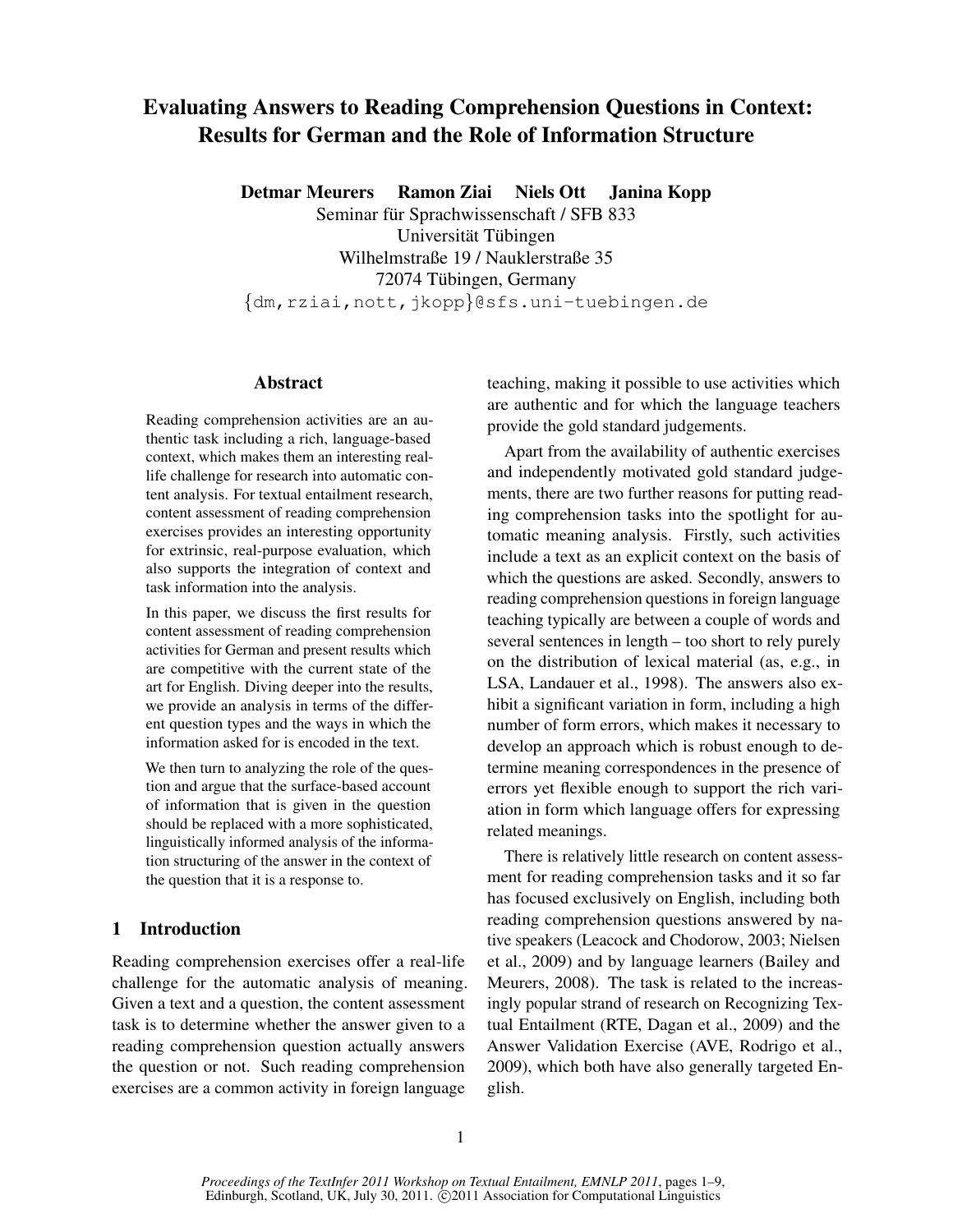# Evaluating Answers to Reading Comprehension Questions in Context: Results for German and the Role of Information Structure

Detmar Meurers Ramon Ziai Niels Ott Janina Kopp

Seminar für Sprachwissenschaft / SFB 833 Universität Tübingen Wilhelmstraße 19 / Nauklerstraße 35 72074 Tübingen, Germany {dm,rziai,nott,jkopp}@sfs.uni-tuebingen.de

#### Abstract

Reading comprehension activities are an authentic task including a rich, language-based context, which makes them an interesting reallife challenge for research into automatic content analysis. For textual entailment research, content assessment of reading comprehension exercises provides an interesting opportunity for extrinsic, real-purpose evaluation, which also supports the integration of context and task information into the analysis.

In this paper, we discuss the first results for content assessment of reading comprehension activities for German and present results which are competitive with the current state of the art for English. Diving deeper into the results, we provide an analysis in terms of the different question types and the ways in which the information asked for is encoded in the text.

We then turn to analyzing the role of the question and argue that the surface-based account of information that is given in the question should be replaced with a more sophisticated, linguistically informed analysis of the information structuring of the answer in the context of the question that it is a response to.

# 1 Introduction

Reading comprehension exercises offer a real-life challenge for the automatic analysis of meaning. Given a text and a question, the content assessment task is to determine whether the answer given to a reading comprehension question actually answers the question or not. Such reading comprehension exercises are a common activity in foreign language

teaching, making it possible to use activities which are authentic and for which the language teachers provide the gold standard judgements.

Apart from the availability of authentic exercises and independently motivated gold standard judgements, there are two further reasons for putting reading comprehension tasks into the spotlight for automatic meaning analysis. Firstly, such activities include a text as an explicit context on the basis of which the questions are asked. Secondly, answers to reading comprehension questions in foreign language teaching typically are between a couple of words and several sentences in length – too short to rely purely on the distribution of lexical material (as, e.g., in LSA, Landauer et al., 1998). The answers also exhibit a significant variation in form, including a high number of form errors, which makes it necessary to develop an approach which is robust enough to determine meaning correspondences in the presence of errors yet flexible enough to support the rich variation in form which language offers for expressing related meanings.

There is relatively little research on content assessment for reading comprehension tasks and it so far has focused exclusively on English, including both reading comprehension questions answered by native speakers (Leacock and Chodorow, 2003; Nielsen et al., 2009) and by language learners (Bailey and Meurers, 2008). The task is related to the increasingly popular strand of research on Recognizing Textual Entailment (RTE, Dagan et al., 2009) and the Answer Validation Exercise (AVE, Rodrigo et al., 2009), which both have also generally targeted English.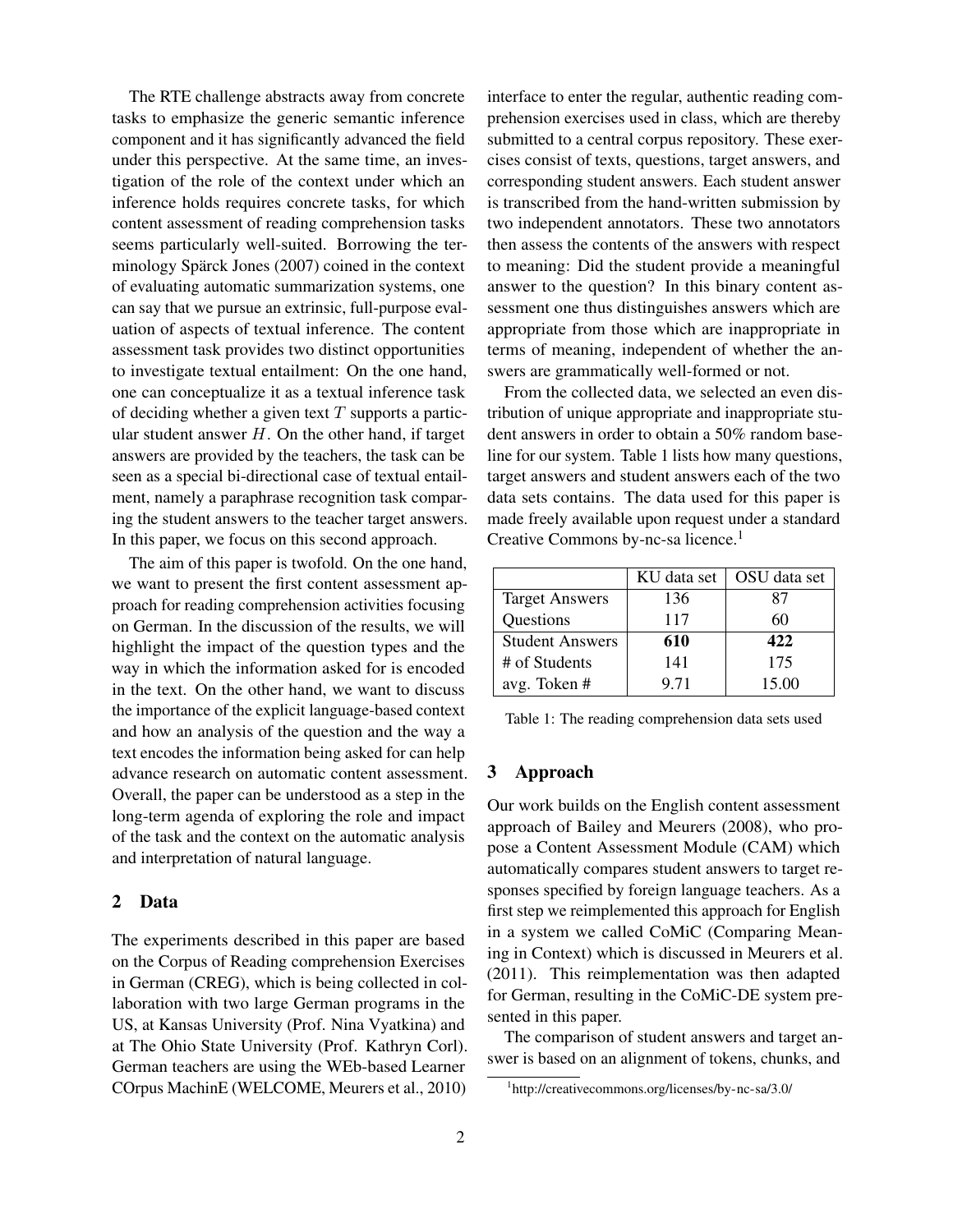The RTE challenge abstracts away from concrete tasks to emphasize the generic semantic inference component and it has significantly advanced the field under this perspective. At the same time, an investigation of the role of the context under which an inference holds requires concrete tasks, for which content assessment of reading comprehension tasks seems particularly well-suited. Borrowing the terminology Spärck Jones (2007) coined in the context of evaluating automatic summarization systems, one can say that we pursue an extrinsic, full-purpose evaluation of aspects of textual inference. The content assessment task provides two distinct opportunities to investigate textual entailment: On the one hand, one can conceptualize it as a textual inference task of deciding whether a given text  $T$  supports a particular student answer  $H$ . On the other hand, if target answers are provided by the teachers, the task can be seen as a special bi-directional case of textual entailment, namely a paraphrase recognition task comparing the student answers to the teacher target answers. In this paper, we focus on this second approach.

The aim of this paper is twofold. On the one hand, we want to present the first content assessment approach for reading comprehension activities focusing on German. In the discussion of the results, we will highlight the impact of the question types and the way in which the information asked for is encoded in the text. On the other hand, we want to discuss the importance of the explicit language-based context and how an analysis of the question and the way a text encodes the information being asked for can help advance research on automatic content assessment. Overall, the paper can be understood as a step in the long-term agenda of exploring the role and impact of the task and the context on the automatic analysis and interpretation of natural language.

#### 2 Data

The experiments described in this paper are based on the Corpus of Reading comprehension Exercises in German (CREG), which is being collected in collaboration with two large German programs in the US, at Kansas University (Prof. Nina Vyatkina) and at The Ohio State University (Prof. Kathryn Corl). German teachers are using the WEb-based Learner COrpus MachinE (WELCOME, Meurers et al., 2010) interface to enter the regular, authentic reading comprehension exercises used in class, which are thereby submitted to a central corpus repository. These exercises consist of texts, questions, target answers, and corresponding student answers. Each student answer is transcribed from the hand-written submission by two independent annotators. These two annotators then assess the contents of the answers with respect to meaning: Did the student provide a meaningful answer to the question? In this binary content assessment one thus distinguishes answers which are appropriate from those which are inappropriate in terms of meaning, independent of whether the answers are grammatically well-formed or not.

From the collected data, we selected an even distribution of unique appropriate and inappropriate student answers in order to obtain a 50% random baseline for our system. Table 1 lists how many questions, target answers and student answers each of the two data sets contains. The data used for this paper is made freely available upon request under a standard Creative Commons by-nc-sa licence.<sup>1</sup>

|                        | KU data set | OSU data set |
|------------------------|-------------|--------------|
| <b>Target Answers</b>  | 136         | 87           |
| Questions              | 117         | 60           |
| <b>Student Answers</b> | 610         | 422          |
| # of Students          | 141         | 175          |
| avg. Token #           | 9.71        | 15.00        |

Table 1: The reading comprehension data sets used

#### 3 Approach

Our work builds on the English content assessment approach of Bailey and Meurers (2008), who propose a Content Assessment Module (CAM) which automatically compares student answers to target responses specified by foreign language teachers. As a first step we reimplemented this approach for English in a system we called CoMiC (Comparing Meaning in Context) which is discussed in Meurers et al. (2011). This reimplementation was then adapted for German, resulting in the CoMiC-DE system presented in this paper.

The comparison of student answers and target answer is based on an alignment of tokens, chunks, and

<sup>1</sup> http://creativecommons.org/licenses/by-nc-sa/3.0/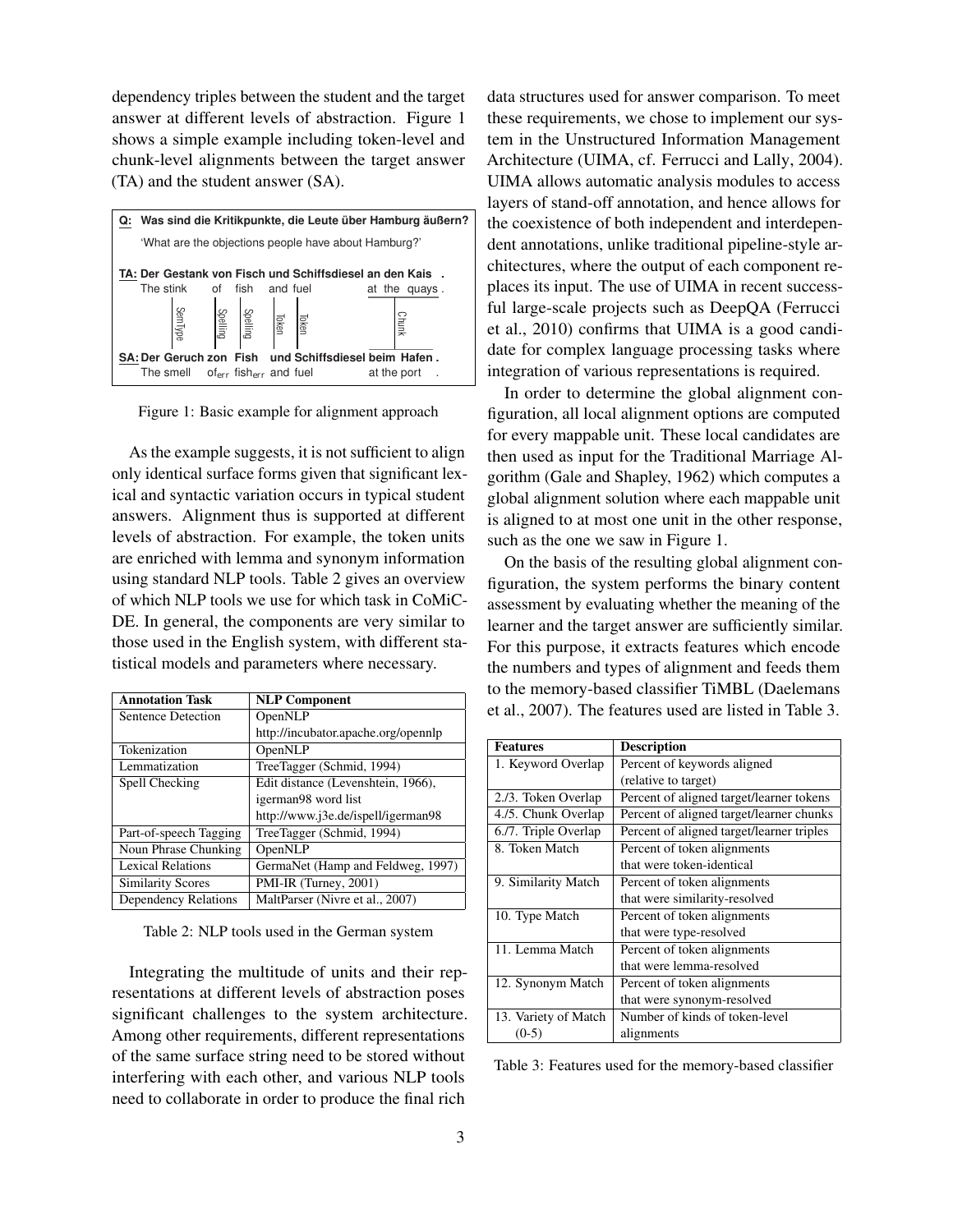dependency triples between the student and the target answer at different levels of abstraction. Figure 1 shows a simple example including token-level and chunk-level alignments between the target answer (TA) and the student answer (SA).



Figure 1: Basic example for alignment approach

As the example suggests, it is not sufficient to align only identical surface forms given that significant lexical and syntactic variation occurs in typical student answers. Alignment thus is supported at different levels of abstraction. For example, the token units are enriched with lemma and synonym information using standard NLP tools. Table 2 gives an overview of which NLP tools we use for which task in CoMiC-DE. In general, the components are very similar to those used in the English system, with different statistical models and parameters where necessary.

| <b>Annotation Task</b>   | <b>NLP Component</b>                |
|--------------------------|-------------------------------------|
| Sentence Detection       | OpenNLP                             |
|                          | http://incubator.apache.org/opennlp |
| Tokenization             | OpenNLP                             |
| Lemmatization            | TreeTagger (Schmid, 1994)           |
| Spell Checking           | Edit distance (Levenshtein, 1966),  |
|                          | igerman98 word list                 |
|                          | http://www.j3e.de/ispell/igerman98  |
| Part-of-speech Tagging   | TreeTagger (Schmid, 1994)           |
| Noun Phrase Chunking     | OpenNLP                             |
| <b>Lexical Relations</b> | GermaNet (Hamp and Feldweg, 1997)   |
| <b>Similarity Scores</b> | PMI-IR (Turney, 2001)               |
| Dependency Relations     | MaltParser (Nivre et al., 2007)     |

Table 2: NLP tools used in the German system

Integrating the multitude of units and their representations at different levels of abstraction poses significant challenges to the system architecture. Among other requirements, different representations of the same surface string need to be stored without interfering with each other, and various NLP tools need to collaborate in order to produce the final rich

data structures used for answer comparison. To meet these requirements, we chose to implement our system in the Unstructured Information Management Architecture (UIMA, cf. Ferrucci and Lally, 2004). UIMA allows automatic analysis modules to access layers of stand-off annotation, and hence allows for the coexistence of both independent and interdependent annotations, unlike traditional pipeline-style architectures, where the output of each component replaces its input. The use of UIMA in recent successful large-scale projects such as DeepQA (Ferrucci et al., 2010) confirms that UIMA is a good candidate for complex language processing tasks where integration of various representations is required.

In order to determine the global alignment configuration, all local alignment options are computed for every mappable unit. These local candidates are then used as input for the Traditional Marriage Algorithm (Gale and Shapley, 1962) which computes a global alignment solution where each mappable unit is aligned to at most one unit in the other response, such as the one we saw in Figure 1.

On the basis of the resulting global alignment configuration, the system performs the binary content assessment by evaluating whether the meaning of the learner and the target answer are sufficiently similar. For this purpose, it extracts features which encode the numbers and types of alignment and feeds them to the memory-based classifier TiMBL (Daelemans et al., 2007). The features used are listed in Table 3.

| <b>Features</b>      | <b>Description</b>                        |  |  |  |
|----------------------|-------------------------------------------|--|--|--|
| 1. Keyword Overlap   | Percent of keywords aligned               |  |  |  |
|                      | (relative to target)                      |  |  |  |
| 2./3. Token Overlap  | Percent of aligned target/learner tokens  |  |  |  |
| 4./5. Chunk Overlap  | Percent of aligned target/learner chunks  |  |  |  |
| 6./7. Triple Overlap | Percent of aligned target/learner triples |  |  |  |
| 8. Token Match       | Percent of token alignments               |  |  |  |
|                      | that were token-identical                 |  |  |  |
| 9. Similarity Match  | Percent of token alignments               |  |  |  |
|                      | that were similarity-resolved             |  |  |  |
| 10. Type Match       | Percent of token alignments               |  |  |  |
|                      | that were type-resolved                   |  |  |  |
| 11. Lemma Match      | Percent of token alignments               |  |  |  |
|                      | that were lemma-resolved                  |  |  |  |
| 12. Synonym Match    | Percent of token alignments               |  |  |  |
|                      | that were synonym-resolved                |  |  |  |
| 13. Variety of Match | Number of kinds of token-level            |  |  |  |
| $(0-5)$              | alignments                                |  |  |  |

Table 3: Features used for the memory-based classifier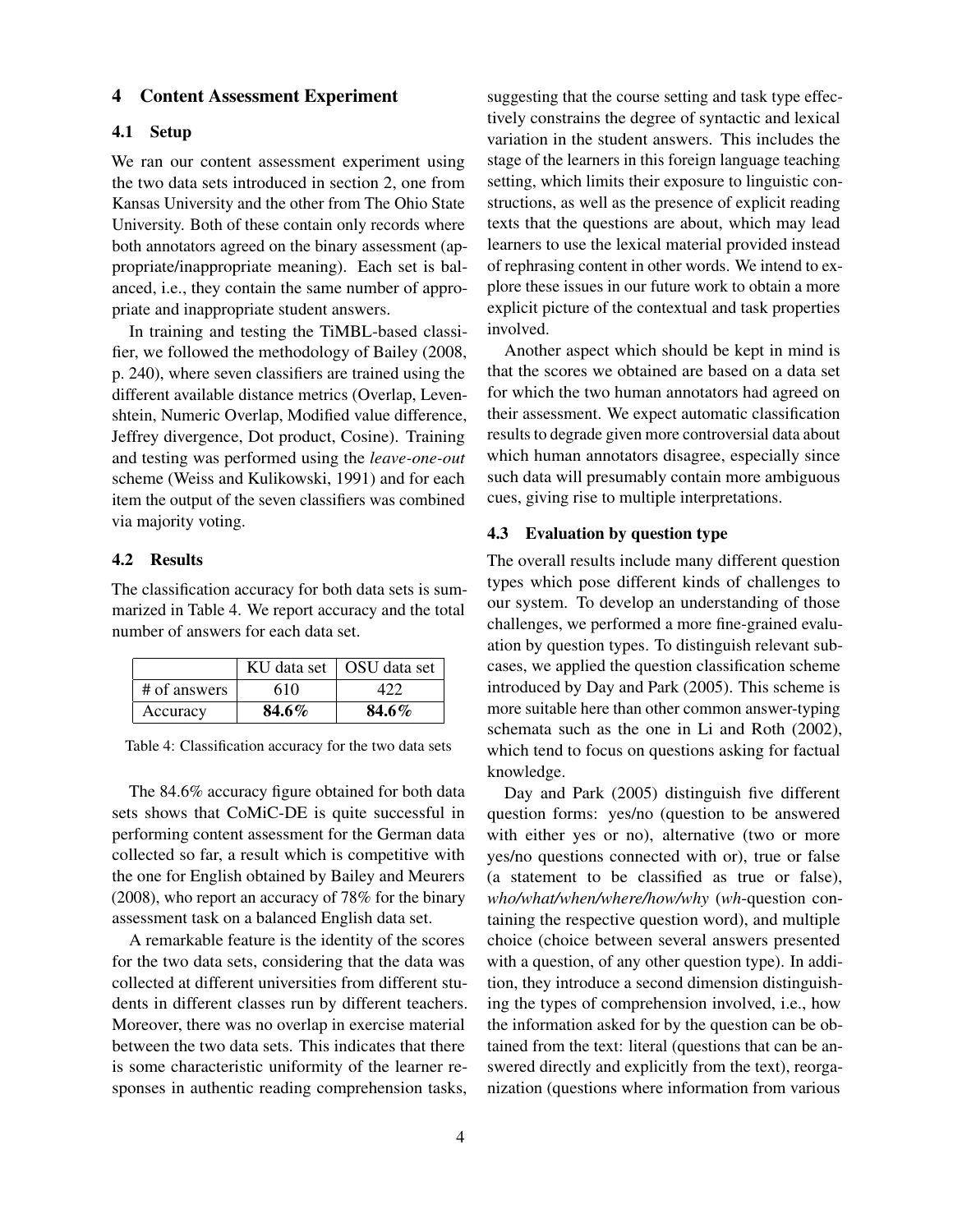#### 4 Content Assessment Experiment

#### 4.1 Setup

We ran our content assessment experiment using the two data sets introduced in section 2, one from Kansas University and the other from The Ohio State University. Both of these contain only records where both annotators agreed on the binary assessment (appropriate/inappropriate meaning). Each set is balanced, i.e., they contain the same number of appropriate and inappropriate student answers.

In training and testing the TiMBL-based classifier, we followed the methodology of Bailey (2008, p. 240), where seven classifiers are trained using the different available distance metrics (Overlap, Levenshtein, Numeric Overlap, Modified value difference, Jeffrey divergence, Dot product, Cosine). Training and testing was performed using the *leave-one-out* scheme (Weiss and Kulikowski, 1991) and for each item the output of the seven classifiers was combined via majority voting.

#### 4.2 Results

The classification accuracy for both data sets is summarized in Table 4. We report accuracy and the total number of answers for each data set.

|              |       | KU data set   OSU data set |
|--------------|-------|----------------------------|
| # of answers | 610   |                            |
| Accuracy     | 84.6% | 84.6%                      |

Table 4: Classification accuracy for the two data sets

The 84.6% accuracy figure obtained for both data sets shows that CoMiC-DE is quite successful in performing content assessment for the German data collected so far, a result which is competitive with the one for English obtained by Bailey and Meurers (2008), who report an accuracy of 78% for the binary assessment task on a balanced English data set.

A remarkable feature is the identity of the scores for the two data sets, considering that the data was collected at different universities from different students in different classes run by different teachers. Moreover, there was no overlap in exercise material between the two data sets. This indicates that there is some characteristic uniformity of the learner responses in authentic reading comprehension tasks, suggesting that the course setting and task type effectively constrains the degree of syntactic and lexical variation in the student answers. This includes the stage of the learners in this foreign language teaching setting, which limits their exposure to linguistic constructions, as well as the presence of explicit reading texts that the questions are about, which may lead learners to use the lexical material provided instead of rephrasing content in other words. We intend to explore these issues in our future work to obtain a more explicit picture of the contextual and task properties involved.

Another aspect which should be kept in mind is that the scores we obtained are based on a data set for which the two human annotators had agreed on their assessment. We expect automatic classification results to degrade given more controversial data about which human annotators disagree, especially since such data will presumably contain more ambiguous cues, giving rise to multiple interpretations.

#### 4.3 Evaluation by question type

The overall results include many different question types which pose different kinds of challenges to our system. To develop an understanding of those challenges, we performed a more fine-grained evaluation by question types. To distinguish relevant subcases, we applied the question classification scheme introduced by Day and Park (2005). This scheme is more suitable here than other common answer-typing schemata such as the one in Li and Roth (2002), which tend to focus on questions asking for factual knowledge.

Day and Park (2005) distinguish five different question forms: yes/no (question to be answered with either yes or no), alternative (two or more yes/no questions connected with or), true or false (a statement to be classified as true or false), *who/what/when/where/how/why* (*wh*-question containing the respective question word), and multiple choice (choice between several answers presented with a question, of any other question type). In addition, they introduce a second dimension distinguishing the types of comprehension involved, i.e., how the information asked for by the question can be obtained from the text: literal (questions that can be answered directly and explicitly from the text), reorganization (questions where information from various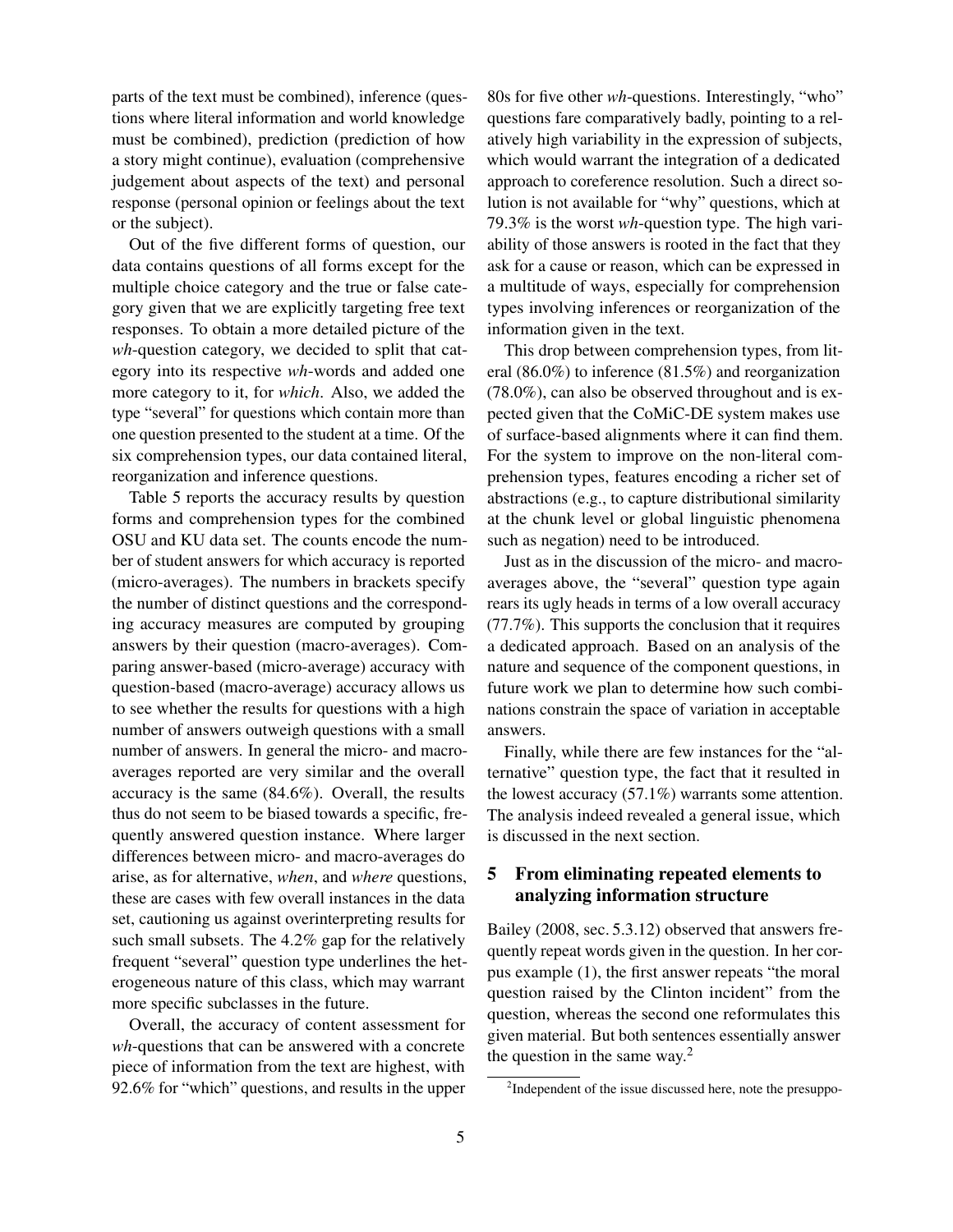parts of the text must be combined), inference (questions where literal information and world knowledge must be combined), prediction (prediction of how a story might continue), evaluation (comprehensive judgement about aspects of the text) and personal response (personal opinion or feelings about the text or the subject).

Out of the five different forms of question, our data contains questions of all forms except for the multiple choice category and the true or false category given that we are explicitly targeting free text responses. To obtain a more detailed picture of the *wh*-question category, we decided to split that category into its respective *wh*-words and added one more category to it, for *which*. Also, we added the type "several" for questions which contain more than one question presented to the student at a time. Of the six comprehension types, our data contained literal, reorganization and inference questions.

Table 5 reports the accuracy results by question forms and comprehension types for the combined OSU and KU data set. The counts encode the number of student answers for which accuracy is reported (micro-averages). The numbers in brackets specify the number of distinct questions and the corresponding accuracy measures are computed by grouping answers by their question (macro-averages). Comparing answer-based (micro-average) accuracy with question-based (macro-average) accuracy allows us to see whether the results for questions with a high number of answers outweigh questions with a small number of answers. In general the micro- and macroaverages reported are very similar and the overall accuracy is the same (84.6%). Overall, the results thus do not seem to be biased towards a specific, frequently answered question instance. Where larger differences between micro- and macro-averages do arise, as for alternative, *when*, and *where* questions, these are cases with few overall instances in the data set, cautioning us against overinterpreting results for such small subsets. The 4.2% gap for the relatively frequent "several" question type underlines the heterogeneous nature of this class, which may warrant more specific subclasses in the future.

Overall, the accuracy of content assessment for *wh*-questions that can be answered with a concrete piece of information from the text are highest, with 92.6% for "which" questions, and results in the upper 80s for five other *wh*-questions. Interestingly, "who" questions fare comparatively badly, pointing to a relatively high variability in the expression of subjects, which would warrant the integration of a dedicated approach to coreference resolution. Such a direct solution is not available for "why" questions, which at 79.3% is the worst *wh*-question type. The high variability of those answers is rooted in the fact that they ask for a cause or reason, which can be expressed in a multitude of ways, especially for comprehension types involving inferences or reorganization of the information given in the text.

This drop between comprehension types, from literal (86.0%) to inference (81.5%) and reorganization (78.0%), can also be observed throughout and is expected given that the CoMiC-DE system makes use of surface-based alignments where it can find them. For the system to improve on the non-literal comprehension types, features encoding a richer set of abstractions (e.g., to capture distributional similarity at the chunk level or global linguistic phenomena such as negation) need to be introduced.

Just as in the discussion of the micro- and macroaverages above, the "several" question type again rears its ugly heads in terms of a low overall accuracy (77.7%). This supports the conclusion that it requires a dedicated approach. Based on an analysis of the nature and sequence of the component questions, in future work we plan to determine how such combinations constrain the space of variation in acceptable answers.

Finally, while there are few instances for the "alternative" question type, the fact that it resulted in the lowest accuracy (57.1%) warrants some attention. The analysis indeed revealed a general issue, which is discussed in the next section.

## 5 From eliminating repeated elements to analyzing information structure

Bailey (2008, sec. 5.3.12) observed that answers frequently repeat words given in the question. In her corpus example (1), the first answer repeats "the moral question raised by the Clinton incident" from the question, whereas the second one reformulates this given material. But both sentences essentially answer the question in the same way.<sup>2</sup>

<sup>&</sup>lt;sup>2</sup>Independent of the issue discussed here, note the presuppo-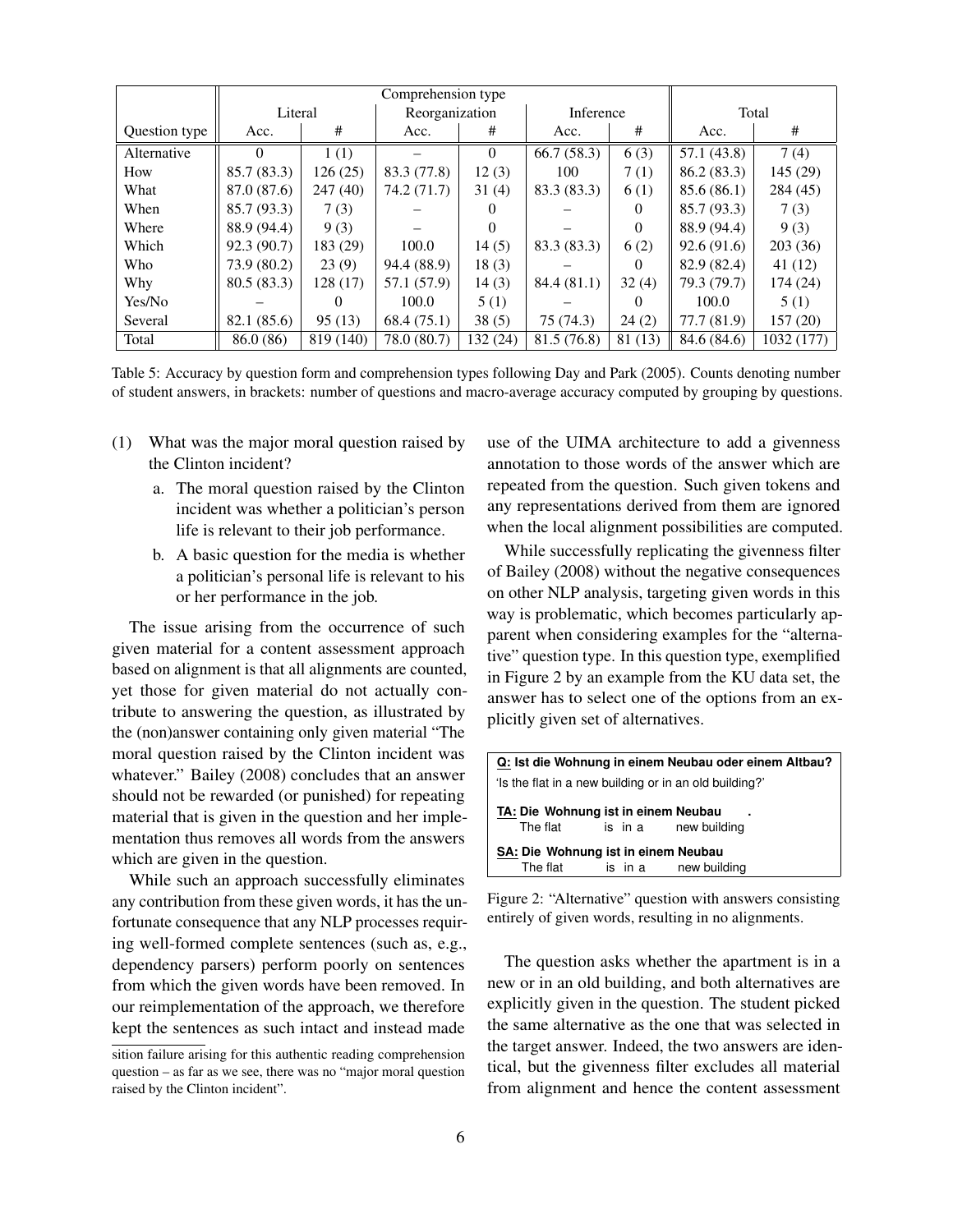|               | Comprehension type |           |                |          |             |          |             |            |
|---------------|--------------------|-----------|----------------|----------|-------------|----------|-------------|------------|
|               | Literal            |           | Reorganization |          | Inference   |          | Total       |            |
| Question type | Acc.               | #         | Acc.           | #        | Acc.        | #        | Acc.        | #          |
| Alternative   | 0                  | 1(1)      |                | $\Omega$ | 66.7(58.3)  | 6(3)     | 57.1(43.8)  | 7(4)       |
| How           | 85.7 (83.3)        | 126(25)   | 83.3 (77.8)    | 12(3)    | 100         | 7(1)     | 86.2(83.3)  | 145 (29)   |
| What          | 87.0 (87.6)        | 247 (40)  | 74.2 (71.7)    | 31(4)    | 83.3 (83.3) | 6(1)     | 85.6(86.1)  | 284 (45)   |
| When          | 85.7 (93.3)        | 7(3)      |                |          |             | 0        | 85.7 (93.3) | 7(3)       |
| Where         | 88.9 (94.4)        | 9(3)      |                | $\theta$ |             | $\Omega$ | 88.9 (94.4) | 9(3)       |
| Which         | 92.3(90.7)         | 183 (29)  | 100.0          | 14(5)    | 83.3 (83.3) | 6(2)     | 92.6(91.6)  | 203 (36)   |
| Who           | 73.9 (80.2)        | 23(9)     | 94.4 (88.9)    | 18(3)    |             | $\Omega$ | 82.9 (82.4) | 41(12)     |
| Why           | 80.5(83.3)         | 128 (17)  | 57.1 (57.9)    | 14(3)    | 84.4 (81.1) | 32(4)    | 79.3 (79.7) | 174 (24)   |
| Yes/No        |                    |           | 100.0          | 5(1)     |             |          | 100.0       | 5(1)       |
| Several       | 82.1 (85.6)        | 95(13)    | 68.4(75.1)     | 38(5)    | 75 (74.3)   | 24(2)    | 77.7 (81.9) | 157(20)    |
| Total         | 86.0 (86)          | 819 (140) | 78.0 (80.7)    | 132 (24) | 81.5 (76.8) | 81 (13)  | 84.6 (84.6) | 1032 (177) |

Table 5: Accuracy by question form and comprehension types following Day and Park (2005). Counts denoting number of student answers, in brackets: number of questions and macro-average accuracy computed by grouping by questions.

- (1) What was the major moral question raised by the Clinton incident?
	- a. The moral question raised by the Clinton incident was whether a politician's person life is relevant to their job performance.
	- b. A basic question for the media is whether a politician's personal life is relevant to his or her performance in the job.

The issue arising from the occurrence of such given material for a content assessment approach based on alignment is that all alignments are counted, yet those for given material do not actually contribute to answering the question, as illustrated by the (non)answer containing only given material "The moral question raised by the Clinton incident was whatever." Bailey (2008) concludes that an answer should not be rewarded (or punished) for repeating material that is given in the question and her implementation thus removes all words from the answers which are given in the question.

While such an approach successfully eliminates any contribution from these given words, it has the unfortunate consequence that any NLP processes requiring well-formed complete sentences (such as, e.g., dependency parsers) perform poorly on sentences from which the given words have been removed. In our reimplementation of the approach, we therefore kept the sentences as such intact and instead made use of the UIMA architecture to add a givenness annotation to those words of the answer which are repeated from the question. Such given tokens and any representations derived from them are ignored when the local alignment possibilities are computed.

While successfully replicating the givenness filter of Bailey (2008) without the negative consequences on other NLP analysis, targeting given words in this way is problematic, which becomes particularly apparent when considering examples for the "alternative" question type. In this question type, exemplified in Figure 2 by an example from the KU data set, the answer has to select one of the options from an explicitly given set of alternatives.

| Q: Ist die Wohnung in einem Neubau oder einem Altbau?                   |  |                      |  |  |  |
|-------------------------------------------------------------------------|--|----------------------|--|--|--|
| 'Is the flat in a new building or in an old building?'                  |  |                      |  |  |  |
| TA: Die Wohnung ist in einem Neubau<br>is in a new building<br>The flat |  |                      |  |  |  |
| SA: Die Wohnung ist in einem Neubau                                     |  |                      |  |  |  |
| The flat                                                                |  | is in a new building |  |  |  |

Figure 2: "Alternative" question with answers consisting entirely of given words, resulting in no alignments.

The question asks whether the apartment is in a new or in an old building, and both alternatives are explicitly given in the question. The student picked the same alternative as the one that was selected in the target answer. Indeed, the two answers are identical, but the givenness filter excludes all material from alignment and hence the content assessment

sition failure arising for this authentic reading comprehension question – as far as we see, there was no "major moral question raised by the Clinton incident".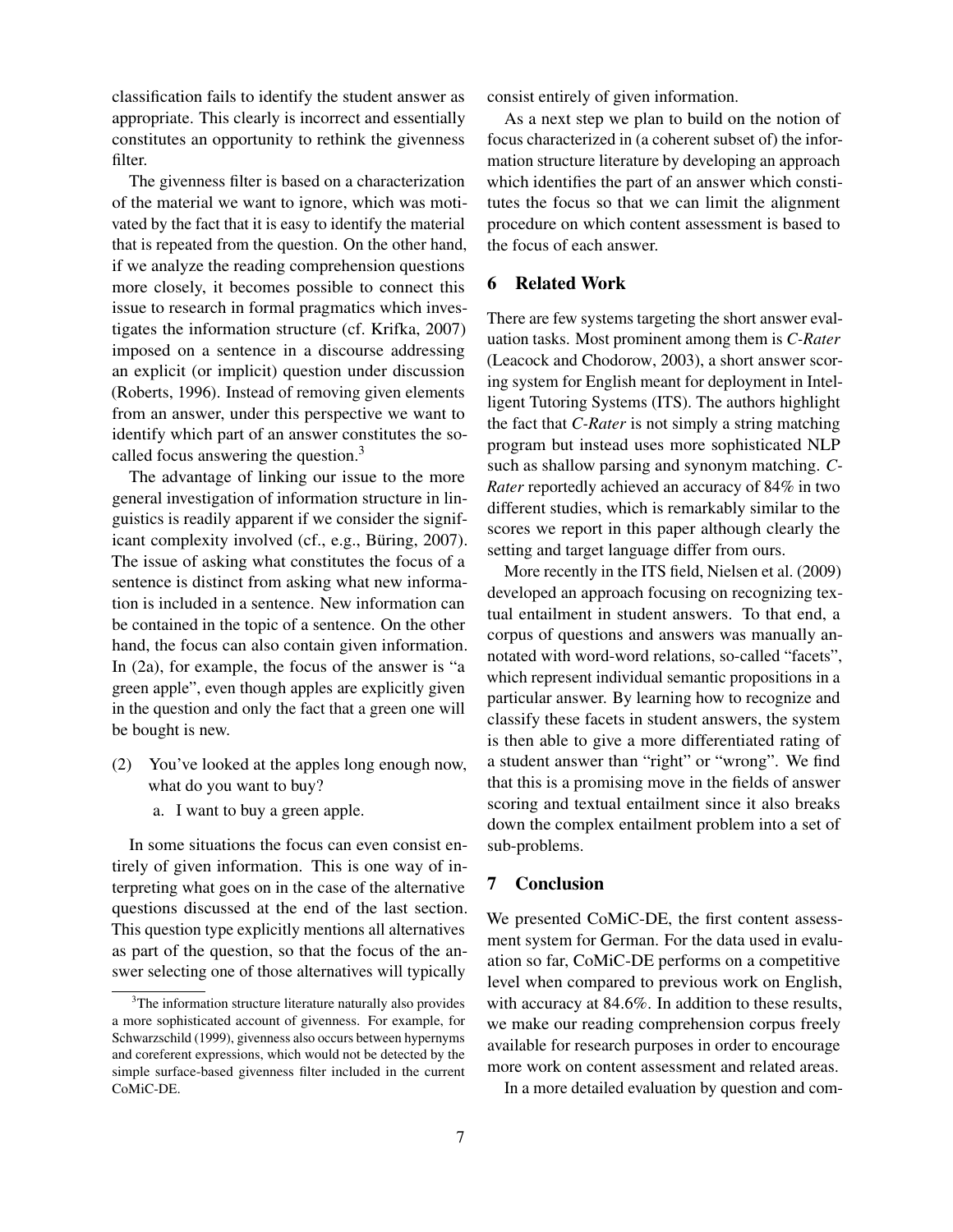classification fails to identify the student answer as appropriate. This clearly is incorrect and essentially constitutes an opportunity to rethink the givenness filter.

The givenness filter is based on a characterization of the material we want to ignore, which was motivated by the fact that it is easy to identify the material that is repeated from the question. On the other hand, if we analyze the reading comprehension questions more closely, it becomes possible to connect this issue to research in formal pragmatics which investigates the information structure (cf. Krifka, 2007) imposed on a sentence in a discourse addressing an explicit (or implicit) question under discussion (Roberts, 1996). Instead of removing given elements from an answer, under this perspective we want to identify which part of an answer constitutes the socalled focus answering the question.<sup>3</sup>

The advantage of linking our issue to the more general investigation of information structure in linguistics is readily apparent if we consider the significant complexity involved (cf., e.g., Büring, 2007). The issue of asking what constitutes the focus of a sentence is distinct from asking what new information is included in a sentence. New information can be contained in the topic of a sentence. On the other hand, the focus can also contain given information. In (2a), for example, the focus of the answer is "a green apple", even though apples are explicitly given in the question and only the fact that a green one will be bought is new.

- (2) You've looked at the apples long enough now, what do you want to buy?
	- a. I want to buy a green apple.

In some situations the focus can even consist entirely of given information. This is one way of interpreting what goes on in the case of the alternative questions discussed at the end of the last section. This question type explicitly mentions all alternatives as part of the question, so that the focus of the answer selecting one of those alternatives will typically

consist entirely of given information.

As a next step we plan to build on the notion of focus characterized in (a coherent subset of) the information structure literature by developing an approach which identifies the part of an answer which constitutes the focus so that we can limit the alignment procedure on which content assessment is based to the focus of each answer.

## 6 Related Work

There are few systems targeting the short answer evaluation tasks. Most prominent among them is *C-Rater* (Leacock and Chodorow, 2003), a short answer scoring system for English meant for deployment in Intelligent Tutoring Systems (ITS). The authors highlight the fact that *C-Rater* is not simply a string matching program but instead uses more sophisticated NLP such as shallow parsing and synonym matching. *C-Rater* reportedly achieved an accuracy of 84% in two different studies, which is remarkably similar to the scores we report in this paper although clearly the setting and target language differ from ours.

More recently in the ITS field, Nielsen et al. (2009) developed an approach focusing on recognizing textual entailment in student answers. To that end, a corpus of questions and answers was manually annotated with word-word relations, so-called "facets", which represent individual semantic propositions in a particular answer. By learning how to recognize and classify these facets in student answers, the system is then able to give a more differentiated rating of a student answer than "right" or "wrong". We find that this is a promising move in the fields of answer scoring and textual entailment since it also breaks down the complex entailment problem into a set of sub-problems.

#### 7 Conclusion

We presented CoMiC-DE, the first content assessment system for German. For the data used in evaluation so far, CoMiC-DE performs on a competitive level when compared to previous work on English, with accuracy at 84.6%. In addition to these results, we make our reading comprehension corpus freely available for research purposes in order to encourage more work on content assessment and related areas.

In a more detailed evaluation by question and com-

<sup>&</sup>lt;sup>3</sup>The information structure literature naturally also provides a more sophisticated account of givenness. For example, for Schwarzschild (1999), givenness also occurs between hypernyms and coreferent expressions, which would not be detected by the simple surface-based givenness filter included in the current CoMiC-DE.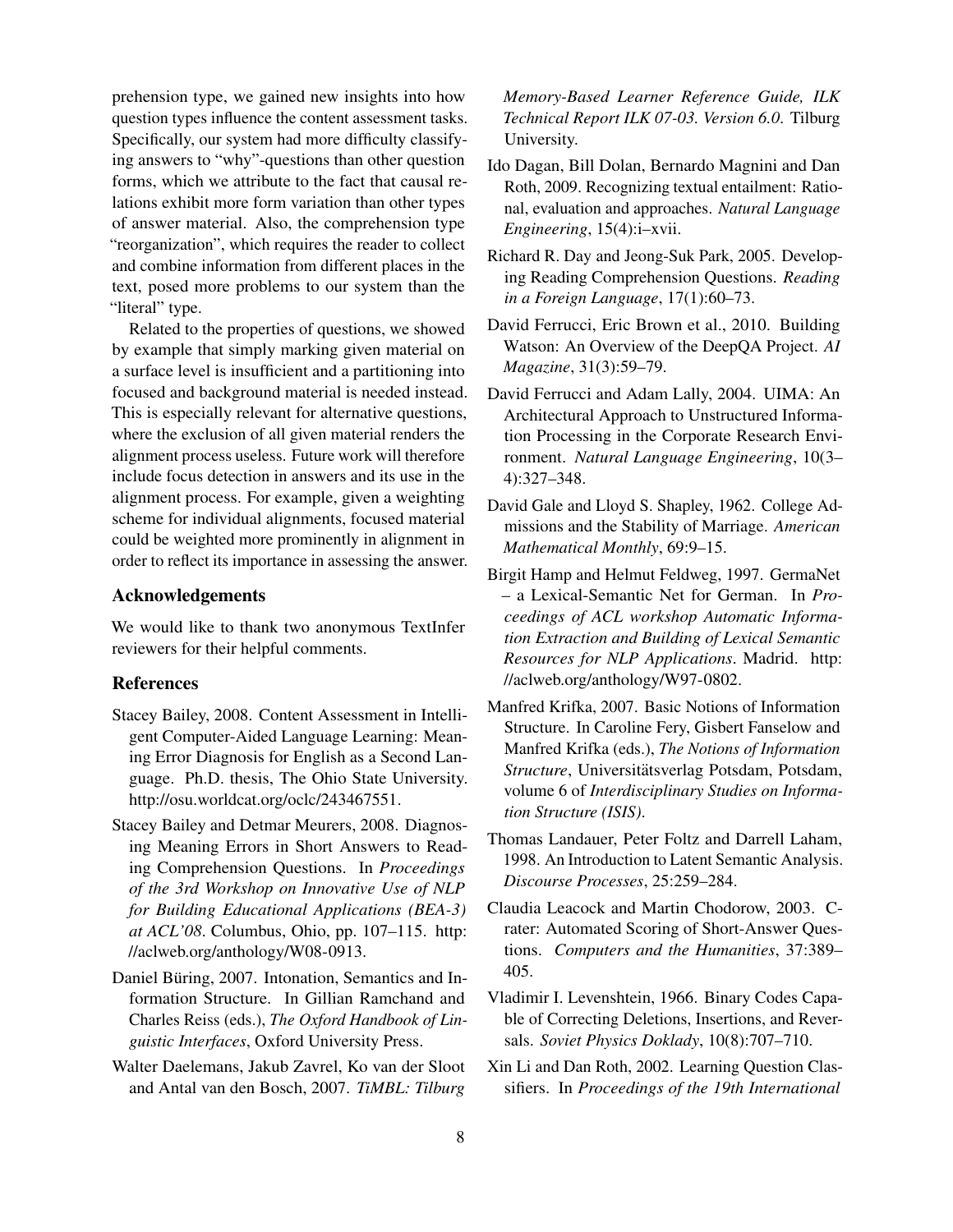prehension type, we gained new insights into how question types influence the content assessment tasks. Specifically, our system had more difficulty classifying answers to "why"-questions than other question forms, which we attribute to the fact that causal relations exhibit more form variation than other types of answer material. Also, the comprehension type "reorganization", which requires the reader to collect and combine information from different places in the text, posed more problems to our system than the "literal" type.

Related to the properties of questions, we showed by example that simply marking given material on a surface level is insufficient and a partitioning into focused and background material is needed instead. This is especially relevant for alternative questions, where the exclusion of all given material renders the alignment process useless. Future work will therefore include focus detection in answers and its use in the alignment process. For example, given a weighting scheme for individual alignments, focused material could be weighted more prominently in alignment in order to reflect its importance in assessing the answer.

#### Acknowledgements

We would like to thank two anonymous TextInfer reviewers for their helpful comments.

### References

- Stacey Bailey, 2008. Content Assessment in Intelligent Computer-Aided Language Learning: Meaning Error Diagnosis for English as a Second Language. Ph.D. thesis, The Ohio State University. http://osu.worldcat.org/oclc/243467551.
- Stacey Bailey and Detmar Meurers, 2008. Diagnosing Meaning Errors in Short Answers to Reading Comprehension Questions. In *Proceedings of the 3rd Workshop on Innovative Use of NLP for Building Educational Applications (BEA-3) at ACL'08*. Columbus, Ohio, pp. 107–115. http: //aclweb.org/anthology/W08-0913.
- Daniel Büring, 2007. Intonation, Semantics and Information Structure. In Gillian Ramchand and Charles Reiss (eds.), *The Oxford Handbook of Linguistic Interfaces*, Oxford University Press.
- Walter Daelemans, Jakub Zavrel, Ko van der Sloot and Antal van den Bosch, 2007. *TiMBL: Tilburg*

*Memory-Based Learner Reference Guide, ILK Technical Report ILK 07-03. Version 6.0*. Tilburg University.

- Ido Dagan, Bill Dolan, Bernardo Magnini and Dan Roth, 2009. Recognizing textual entailment: Rational, evaluation and approaches. *Natural Language Engineering*, 15(4):i–xvii.
- Richard R. Day and Jeong-Suk Park, 2005. Developing Reading Comprehension Questions. *Reading in a Foreign Language*, 17(1):60–73.
- David Ferrucci, Eric Brown et al., 2010. Building Watson: An Overview of the DeepQA Project. *AI Magazine*, 31(3):59–79.
- David Ferrucci and Adam Lally, 2004. UIMA: An Architectural Approach to Unstructured Information Processing in the Corporate Research Environment. *Natural Language Engineering*, 10(3– 4):327–348.
- David Gale and Lloyd S. Shapley, 1962. College Admissions and the Stability of Marriage. *American Mathematical Monthly*, 69:9–15.
- Birgit Hamp and Helmut Feldweg, 1997. GermaNet – a Lexical-Semantic Net for German. In *Proceedings of ACL workshop Automatic Information Extraction and Building of Lexical Semantic Resources for NLP Applications*. Madrid. http: //aclweb.org/anthology/W97-0802.
- Manfred Krifka, 2007. Basic Notions of Information Structure. In Caroline Fery, Gisbert Fanselow and Manfred Krifka (eds.), *The Notions of Information* Structure, Universitätsverlag Potsdam, Potsdam, volume 6 of *Interdisciplinary Studies on Information Structure (ISIS)*.
- Thomas Landauer, Peter Foltz and Darrell Laham, 1998. An Introduction to Latent Semantic Analysis. *Discourse Processes*, 25:259–284.
- Claudia Leacock and Martin Chodorow, 2003. Crater: Automated Scoring of Short-Answer Questions. *Computers and the Humanities*, 37:389– 405.
- Vladimir I. Levenshtein, 1966. Binary Codes Capable of Correcting Deletions, Insertions, and Reversals. *Soviet Physics Doklady*, 10(8):707–710.
- Xin Li and Dan Roth, 2002. Learning Question Classifiers. In *Proceedings of the 19th International*